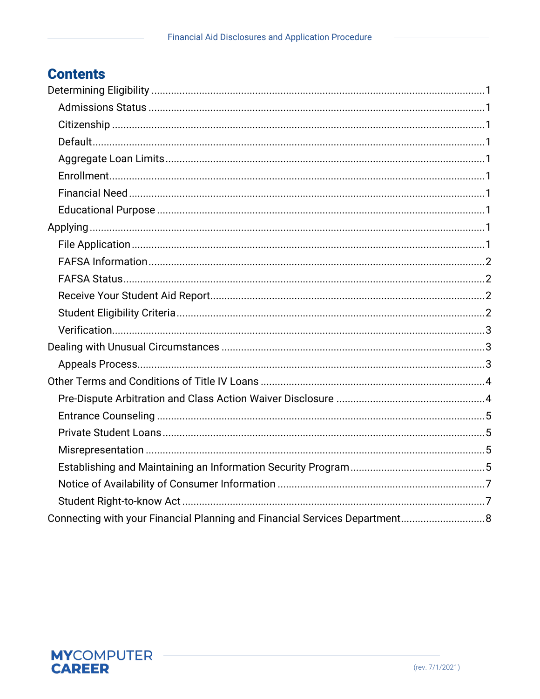# **Contents**

| Connecting with your Financial Planning and Financial Services Department 8 |
|-----------------------------------------------------------------------------|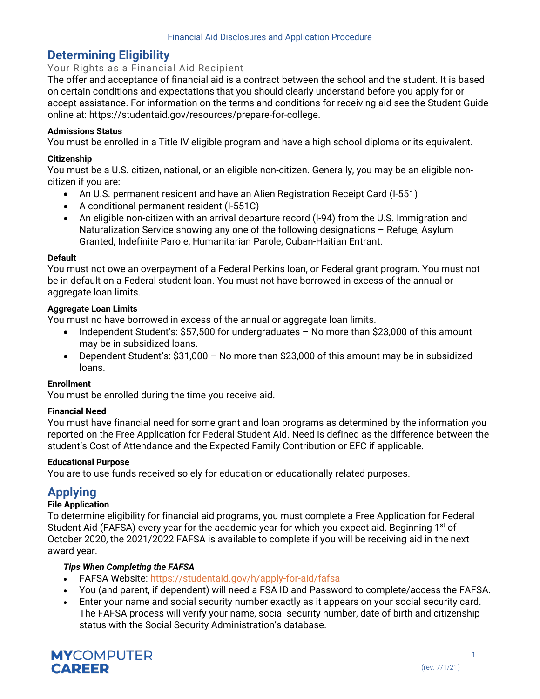# **Determining Eligibility**

# Your Rights as a Financial Aid Recipient

The offer and acceptance of financial aid is a contract between the school and the student. It is based on certain conditions and expectations that you should clearly understand before you apply for or accept assistance. For information on the terms and conditions for receiving aid see the Student Guide online at: [https://studentaid.gov/resources/prepare-for-college.](https://studentaid.gov/resources/prepare-for-college)

### **Admissions Status**

You must be enrolled in a Title IV eligible program and have a high school diploma or its equivalent.

### **Citizenship**

You must be a U.S. citizen, national, or an eligible non-citizen. Generally, you may be an eligible noncitizen if you are:

- An U.S. permanent resident and have an Alien Registration Receipt Card (I-551)
- A conditional permanent resident (I-551C)
- An eligible non-citizen with an arrival departure record (I-94) from the U.S. Immigration and Naturalization Service showing any one of the following designations – Refuge, Asylum Granted, Indefinite Parole, Humanitarian Parole, Cuban-Haitian Entrant.

### **Default**

You must not owe an overpayment of a Federal Perkins loan, or Federal grant program. You must not be in default on a Federal student loan. You must not have borrowed in excess of the annual or aggregate loan limits.

### **Aggregate Loan Limits**

You must no have borrowed in excess of the annual or aggregate loan limits.

- Independent Student's: \$57,500 for undergraduates No more than \$23,000 of this amount may be in subsidized loans.
- Dependent Student's: \$31,000 No more than \$23,000 of this amount may be in subsidized loans.

### **Enrollment**

You must be enrolled during the time you receive aid.

#### **Financial Need**

You must have financial need for some grant and loan programs as determined by the information you reported on the Free Application for Federal Student Aid. Need is defined as the difference between the student's Cost of Attendance and the Expected Family Contribution or EFC if applicable.

### **Educational Purpose**

You are to use funds received solely for education or educationally related purposes.

# **Applying**

### **File Application**

To determine eligibility for financial aid programs, you must complete a Free Application for Federal Student Aid (FAFSA) every year for the academic year for which you expect aid. Beginning  $1<sup>st</sup>$  of October 2020, the 2021/2022 FAFSA is available to complete if you will be receiving aid in the next award year.

### *Tips When Completing the FAFSA*

- FAFSA Website:<https://studentaid.gov/h/apply-for-aid/fafsa>
- You (and parent, if dependent) will need a FSA ID and Password to complete/access the FAFSA.
- Enter your name and social security number exactly as it appears on your social security card. The FAFSA process will verify your name, social security number, date of birth and citizenship status with the Social Security Administration's database.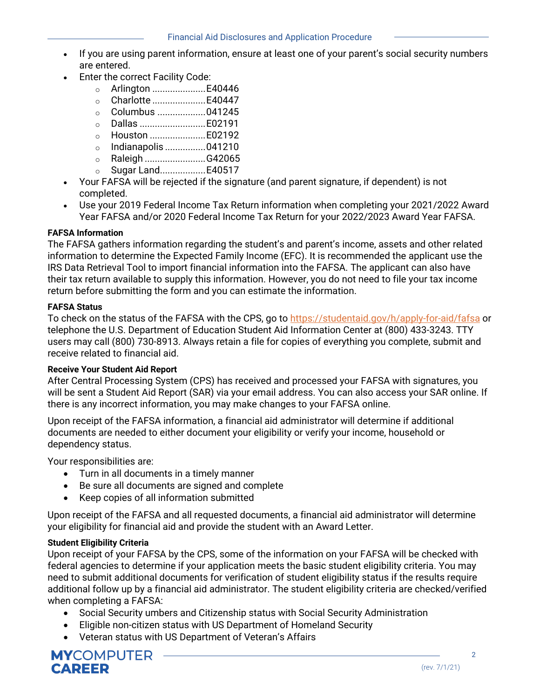- If you are using parent information, ensure at least one of your parent's social security numbers are entered.
- Enter the correct Facility Code:
	- o Arlington .....................E40446
	- o Charlotte .....................E40447
	- o Columbus ...................041245
	- o Dallas ..........................E02191
	- o Houston ......................E02192
	- o Indianapolis ................041210
	- o Raleigh ........................G42065
	- o Sugar Land..................E40517
- Your FAFSA will be rejected if the signature (and parent signature, if dependent) is not completed.
- Use your 2019 Federal Income Tax Return information when completing your 2021/2022 Award Year FAFSA and/or 2020 Federal Income Tax Return for your 2022/2023 Award Year FAFSA.

### **FAFSA Information**

The FAFSA gathers information regarding the student's and parent's income, assets and other related information to determine the Expected Family Income (EFC). It is recommended the applicant use the IRS Data Retrieval Tool to import financial information into the FAFSA. The applicant can also have their tax return available to supply this information. However, you do not need to file your tax income return before submitting the form and you can estimate the information.

#### **FAFSA Status**

To check on the status of the FAFSA with the CPS, go to<https://studentaid.gov/h/apply-for-aid/fafsa> or telephone the U.S. Department of Education Student Aid Information Center at (800) 433-3243. TTY users may call (800) 730-8913. Always retain a file for copies of everything you complete, submit and receive related to financial aid.

#### **Receive Your Student Aid Report**

After Central Processing System (CPS) has received and processed your FAFSA with signatures, you will be sent a Student Aid Report (SAR) via your email address. You can also access your SAR online. If there is any incorrect information, you may make changes to your FAFSA online.

Upon receipt of the FAFSA information, a financial aid administrator will determine if additional documents are needed to either document your eligibility or verify your income, household or dependency status.

Your responsibilities are:

- Turn in all documents in a timely manner
- Be sure all documents are signed and complete
- Keep copies of all information submitted

Upon receipt of the FAFSA and all requested documents, a financial aid administrator will determine your eligibility for financial aid and provide the student with an Award Letter.

## **Student Eligibility Criteria**

Upon receipt of your FAFSA by the CPS, some of the information on your FAFSA will be checked with federal agencies to determine if your application meets the basic student eligibility criteria. You may need to submit additional documents for verification of student eligibility status if the results require additional follow up by a financial aid administrator. The student eligibility criteria are checked/verified when completing a FAFSA:

- Social Security umbers and Citizenship status with Social Security Administration
- Eligible non-citizen status with US Department of Homeland Security
- Veteran status with US Department of Veteran's Affairs

**MYCOMPUTER CAREER**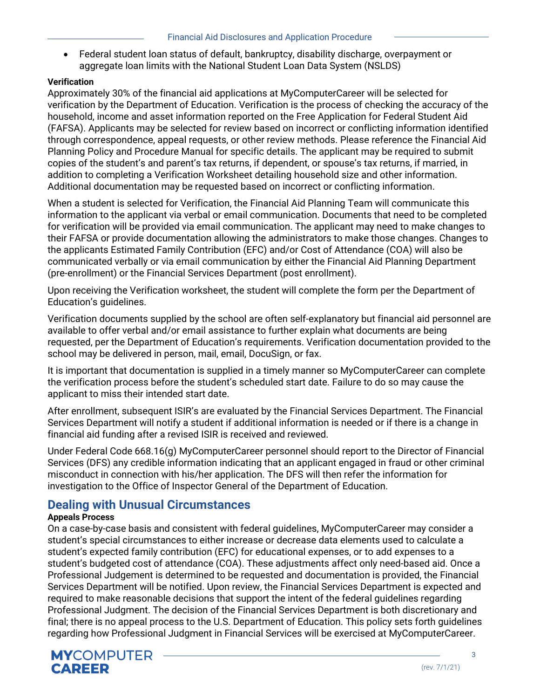• Federal student loan status of default, bankruptcy, disability discharge, overpayment or aggregate loan limits with the National Student Loan Data System (NSLDS)

### **Verification**

Approximately 30% of the financial aid applications at MyComputerCareer will be selected for verification by the Department of Education. Verification is the process of checking the accuracy of the household, income and asset information reported on the Free Application for Federal Student Aid (FAFSA). Applicants may be selected for review based on incorrect or conflicting information identified through correspondence, appeal requests, or other review methods. Please reference the Financial Aid Planning Policy and Procedure Manual for specific details. The applicant may be required to submit copies of the student's and parent's tax returns, if dependent, or spouse's tax returns, if married, in addition to completing a Verification Worksheet detailing household size and other information. Additional documentation may be requested based on incorrect or conflicting information.

When a student is selected for Verification, the Financial Aid Planning Team will communicate this information to the applicant via verbal or email communication. Documents that need to be completed for verification will be provided via email communication. The applicant may need to make changes to their FAFSA or provide documentation allowing the administrators to make those changes. Changes to the applicants Estimated Family Contribution (EFC) and/or Cost of Attendance (COA) will also be communicated verbally or via email communication by either the Financial Aid Planning Department (pre-enrollment) or the Financial Services Department (post enrollment).

Upon receiving the Verification worksheet, the student will complete the form per the Department of Education's guidelines.

Verification documents supplied by the school are often self-explanatory but financial aid personnel are available to offer verbal and/or email assistance to further explain what documents are being requested, per the Department of Education's requirements. Verification documentation provided to the school may be delivered in person, mail, email, DocuSign, or fax.

It is important that documentation is supplied in a timely manner so MyComputerCareer can complete the verification process before the student's scheduled start date. Failure to do so may cause the applicant to miss their intended start date.

After enrollment, subsequent ISIR's are evaluated by the Financial Services Department. The Financial Services Department will notify a student if additional information is needed or if there is a change in financial aid funding after a revised ISIR is received and reviewed.

Under Federal Code 668.16(g) MyComputerCareer personnel should report to the Director of Financial Services (DFS) any credible information indicating that an applicant engaged in fraud or other criminal misconduct in connection with his/her application. The DFS will then refer the information for investigation to the Office of Inspector General of the Department of Education.

# **Dealing with Unusual Circumstances**

### **Appeals Process**

On a case-by-case basis and consistent with federal guidelines, MyComputerCareer may consider a student's special circumstances to either increase or decrease data elements used to calculate a student's expected family contribution (EFC) for educational expenses, or to add expenses to a student's budgeted cost of attendance (COA). These adjustments affect only need-based aid. Once a Professional Judgement is determined to be requested and documentation is provided, the Financial Services Department will be notified. Upon review, the Financial Services Department is expected and required to make reasonable decisions that support the intent of the federal guidelines regarding Professional Judgment. The decision of the Financial Services Department is both discretionary and final; there is no appeal process to the U.S. Department of Education. This policy sets forth guidelines regarding how Professional Judgment in Financial Services will be exercised at MyComputerCareer.

3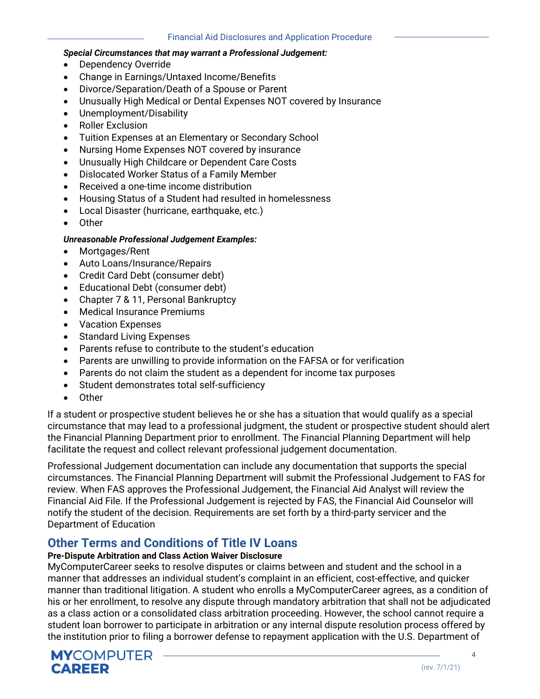### *Special Circumstances that may warrant a Professional Judgement:*

- Dependency Override
- Change in Earnings/Untaxed Income/Benefits
- Divorce/Separation/Death of a Spouse or Parent
- Unusually High Medical or Dental Expenses NOT covered by Insurance
- Unemployment/Disability
- Roller Exclusion
- Tuition Expenses at an Elementary or Secondary School
- Nursing Home Expenses NOT covered by insurance
- Unusually High Childcare or Dependent Care Costs
- Dislocated Worker Status of a Family Member
- Received a one-time income distribution
- Housing Status of a Student had resulted in homelessness
- Local Disaster (hurricane, earthquake, etc.)
- Other

### *Unreasonable Professional Judgement Examples:*

- Mortgages/Rent
- Auto Loans/Insurance/Repairs
- Credit Card Debt (consumer debt)
- Educational Debt (consumer debt)
- Chapter 7 & 11, Personal Bankruptcy
- Medical Insurance Premiums
- Vacation Expenses
- Standard Living Expenses
- Parents refuse to contribute to the student's education
- Parents are unwilling to provide information on the FAFSA or for verification
- Parents do not claim the student as a dependent for income tax purposes
- Student demonstrates total self-sufficiency
- Other

If a student or prospective student believes he or she has a situation that would qualify as a special circumstance that may lead to a professional judgment, the student or prospective student should alert the Financial Planning Department prior to enrollment. The Financial Planning Department will help facilitate the request and collect relevant professional judgement documentation.

Professional Judgement documentation can include any documentation that supports the special circumstances. The Financial Planning Department will submit the Professional Judgement to FAS for review. When FAS approves the Professional Judgement, the Financial Aid Analyst will review the Financial Aid File. If the Professional Judgement is rejected by FAS, the Financial Aid Counselor will notify the student of the decision. Requirements are set forth by a third-party servicer and the Department of Education

# **Other Terms and Conditions of Title IV Loans**

### **Pre-Dispute Arbitration and Class Action Waiver Disclosure**

MyComputerCareer seeks to resolve disputes or claims between and student and the school in a manner that addresses an individual student's complaint in an efficient, cost-effective, and quicker manner than traditional litigation. A student who enrolls a MyComputerCareer agrees, as a condition of his or her enrollment, to resolve any dispute through mandatory arbitration that shall not be adjudicated as a class action or a consolidated class arbitration proceeding. However, the school cannot require a student loan borrower to participate in arbitration or any internal dispute resolution process offered by the institution prior to filing a borrower defense to repayment application with the U.S. Department of

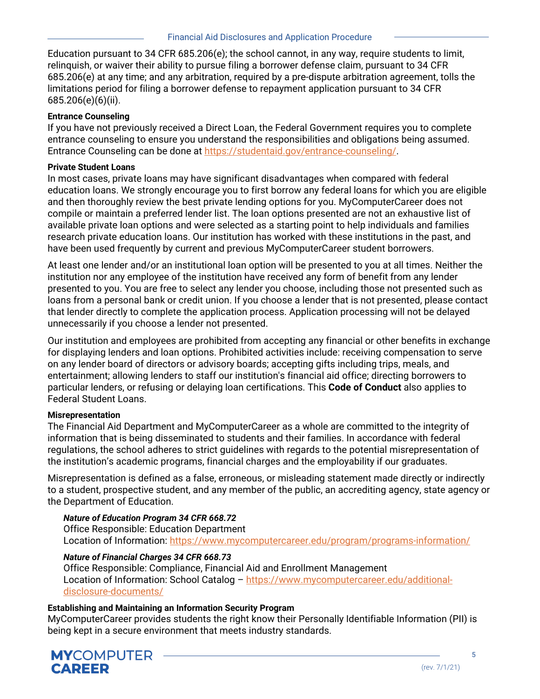Education pursuant to 34 CFR 685.206(e); the school cannot, in any way, require students to limit, relinquish, or waiver their ability to pursue filing a borrower defense claim, pursuant to 34 CFR 685.206(e) at any time; and any arbitration, required by a pre-dispute arbitration agreement, tolls the limitations period for filing a borrower defense to repayment application pursuant to 34 CFR 685.206(e)(6)(ii).

### **Entrance Counseling**

If you have not previously received a Direct Loan, the Federal Government requires you to complete entrance counseling to ensure you understand the responsibilities and obligations being assumed. Entrance Counseling can be done at [https://studentaid.gov/entrance-counseling/.](https://studentaid.gov/entrance-counseling/)

### **Private Student Loans**

In most cases, private loans may have significant disadvantages when compared with federal education loans. We strongly encourage you to first borrow any federal loans for which you are eligible and then thoroughly review the best private lending options for you. MyComputerCareer does not compile or maintain a preferred lender list. The loan options presented are not an exhaustive list of available private loan options and were selected as a starting point to help individuals and families research private education loans. Our institution has worked with these institutions in the past, and have been used frequently by current and previous MyComputerCareer student borrowers.

At least one lender and/or an institutional loan option will be presented to you at all times. Neither the institution nor any employee of the institution have received any form of benefit from any lender presented to you. You are free to select any lender you choose, including those not presented such as loans from a personal bank or credit union. If you choose a lender that is not presented, please contact that lender directly to complete the application process. Application processing will not be delayed unnecessarily if you choose a lender not presented.

Our institution and employees are prohibited from accepting any financial or other benefits in exchange for displaying lenders and loan options. Prohibited activities include: receiving compensation to serve on any lender board of directors or advisory boards; accepting gifts including trips, meals, and entertainment; allowing lenders to staff our institution's financial aid office; directing borrowers to particular lenders, or refusing or delaying loan certifications. This **Code of Conduct** also applies to Federal Student Loans.

### **Misrepresentation**

The Financial Aid Department and MyComputerCareer as a whole are committed to the integrity of information that is being disseminated to students and their families. In accordance with federal regulations, the school adheres to strict guidelines with regards to the potential misrepresentation of the institution's academic programs, financial charges and the employability if our graduates.

Misrepresentation is defined as a false, erroneous, or misleading statement made directly or indirectly to a student, prospective student, and any member of the public, an accrediting agency, state agency or the Department of Education.

### *Nature of Education Program 34 CFR 668.72*

Office Responsible: Education Department Location of Information:<https://www.mycomputercareer.edu/program/programs-information/>

## *Nature of Financial Charges 34 CFR 668.73*

Office Responsible: Compliance, Financial Aid and Enrollment Management Location of Information: School Catalog – [https://www.mycomputercareer.edu/additional](https://www.mycomputercareer.edu/additional-disclosure-documents/)[disclosure-documents/](https://www.mycomputercareer.edu/additional-disclosure-documents/)

### **Establishing and Maintaining an Information Security Program**

MyComputerCareer provides students the right know their Personally Identifiable Information (PII) is being kept in a secure environment that meets industry standards.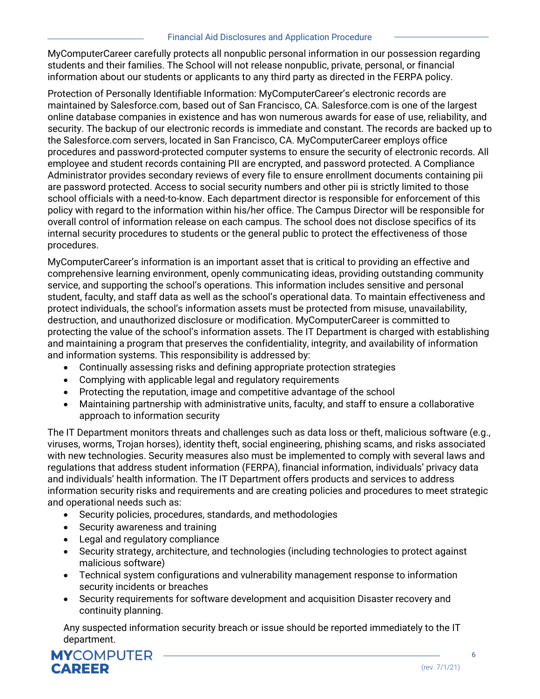MyComputerCareer carefully protects all nonpublic personal information in our possession regarding students and their families. The School will not release nonpublic, private, personal, or financial information about our students or applicants to any third party as directed in the FERPA policy.

Protection of Personally Identifiable Information: MyComputerCareer's electronic records are maintained by Salesforce.com, based out of San Francisco, CA. Salesforce.com is one of the largest online database companies in existence and has won numerous awards for ease of use, reliability, and security. The backup of our electronic records is immediate and constant. The records are backed up to the Salesforce.com servers, located in San Francisco, CA. MyComputerCareer employs office procedures and password-protected computer systems to ensure the security of electronic records. All employee and student records containing PII are encrypted, and password protected. A Compliance Administrator provides secondary reviews of every file to ensure enrollment documents containing pii are password protected. Access to social security numbers and other pii is strictly limited to those school officials with a need-to-know. Each department director is responsible for enforcement of this policy with regard to the information within his/her office. The Campus Director will be responsible for overall control of information release on each campus. The school does not disclose specifics of its internal security procedures to students or the general public to protect the effectiveness of those procedures.

MyComputerCareer's information is an important asset that is critical to providing an effective and comprehensive learning environment, openly communicating ideas, providing outstanding community service, and supporting the school's operations. This information includes sensitive and personal student, faculty, and staff data as well as the school's operational data. To maintain effectiveness and protect individuals, the school's information assets must be protected from misuse, unavailability, destruction, and unauthorized disclosure or modification. MyComputerCareer is committed to protecting the value of the school's information assets. The IT Department is charged with establishing and maintaining a program that preserves the confidentiality, integrity, and availability of information and information systems. This responsibility is addressed by:

- Continually assessing risks and defining appropriate protection strategies
- Complying with applicable legal and regulatory requirements
- Protecting the reputation, image and competitive advantage of the school
- Maintaining partnership with administrative units, faculty, and staff to ensure a collaborative approach to information security

The IT Department monitors threats and challenges such as data loss or theft, malicious software (e.g., viruses, worms, Trojan horses), identity theft, social engineering, phishing scams, and risks associated with new technologies. Security measures also must be implemented to comply with several laws and regulations that address student information (FERPA), financial information, individuals' privacy data and individuals' health information. The IT Department offers products and services to address information security risks and requirements and are creating policies and procedures to meet strategic and operational needs such as:

- Security policies, procedures, standards, and methodologies
- Security awareness and training
- Legal and regulatory compliance
- Security strategy, architecture, and technologies (including technologies to protect against malicious software)
- Technical system configurations and vulnerability management response to information security incidents or breaches
- Security requirements for software development and acquisition Disaster recovery and continuity planning.

Any suspected information security breach or issue should be reported immediately to the IT department.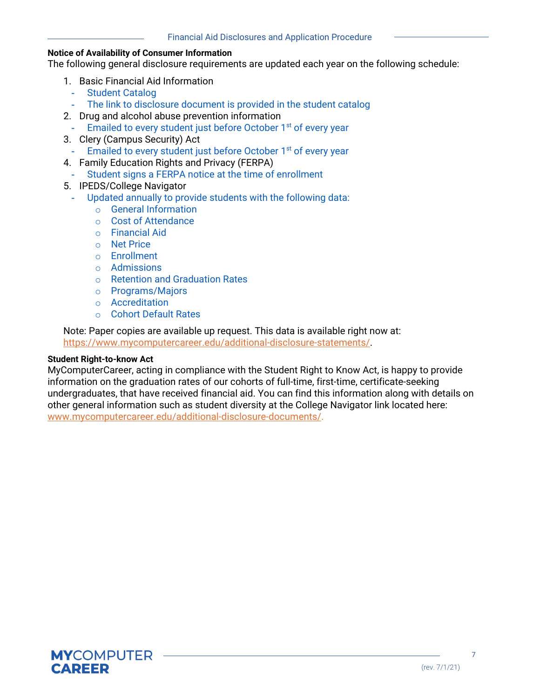# **Notice of Availability of Consumer Information**

The following general disclosure requirements are updated each year on the following schedule:

- 1. Basic Financial Aid Information
	- Student Catalog
	- The link to disclosure document is provided in the student catalog
- 2. Drug and alcohol abuse prevention information
- Emailed to every student just before October 1<sup>st</sup> of every year
- 3. Clery (Campus Security) Act
	- Emailed to every student just before October 1<sup>st</sup> of every year
- 4. Family Education Rights and Privacy (FERPA)
- Student signs a FERPA notice at the time of enrollment
- 5. IPEDS/College Navigator
- Updated annually to provide students with the following data:
	- o General Information
	- o Cost of Attendance
	- o Financial Aid
	- o Net Price
	- o Enrollment
	- o Admissions
	- o Retention and Graduation Rates
	- o Programs/Majors
	- o Accreditation
	- o Cohort Default Rates

Note: Paper copies are available up request. This data is available right now at: [https://www.mycomputercareer.edu/additional-disclosure-statements/.](https://www.mycomputercareer.edu/additional-disclosure-statements/)

# **Student Right-to-know Act**

MyComputerCareer, acting in compliance with the Student Right to Know Act, is happy to provide information on the graduation rates of our cohorts of full-time, first-time, certificate-seeking undergraduates, that have received financial aid. You can find this information along with details on other general information such as student diversity at the College Navigator link located here: www.mycomputercareer.edu/additional-disclosure-documents/.



7